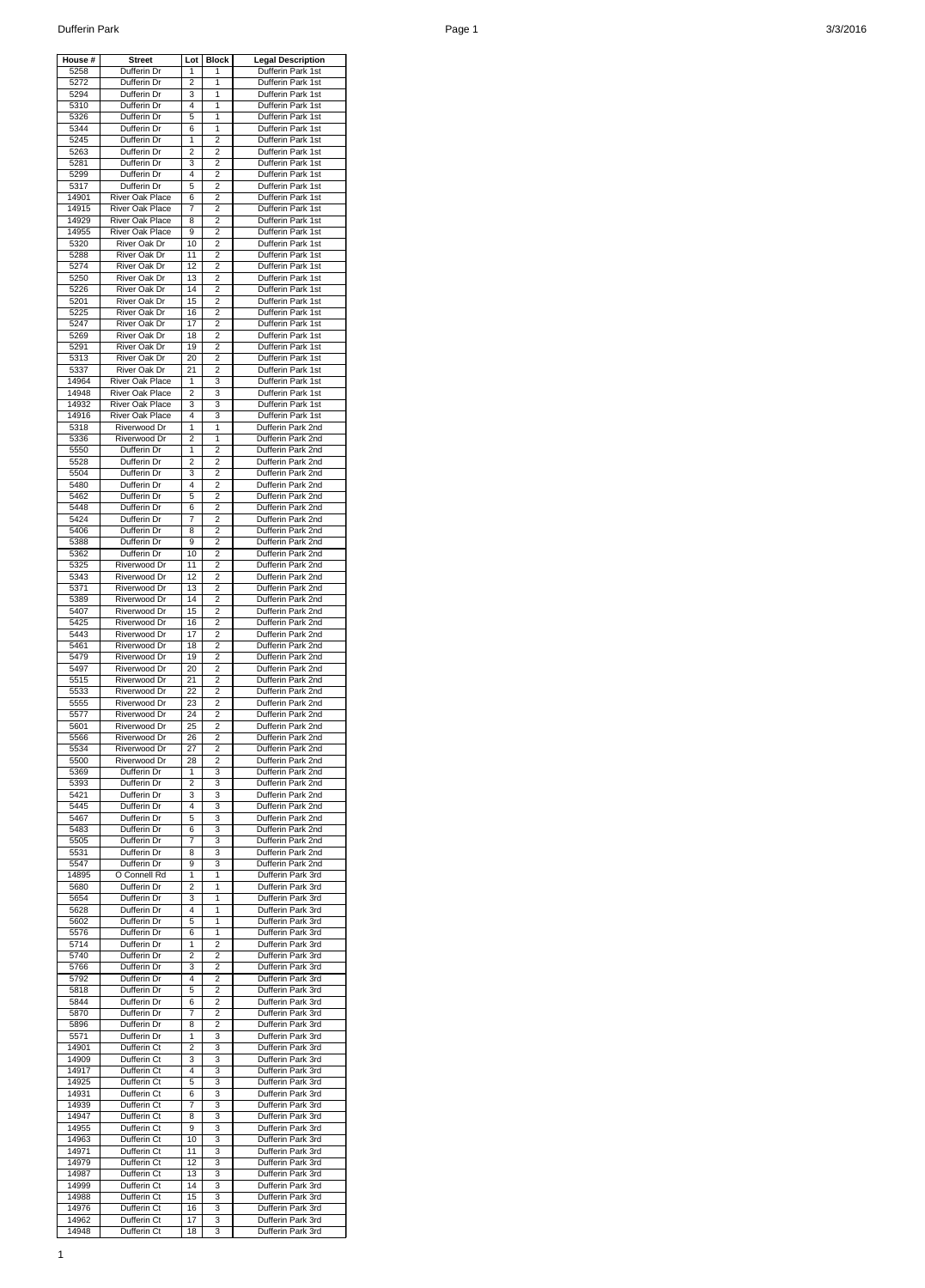| House #        | <b>Street</b>                                    | Lot                 | <b>Block</b>            | <b>Legal Description</b>               |
|----------------|--------------------------------------------------|---------------------|-------------------------|----------------------------------------|
| 5258           | Dufferin Dr                                      | 1                   | 1                       | Dufferin Park 1st                      |
| 5272<br>5294   | Dufferin Dr<br>Dufferin Dr                       | 2<br>3              | 1<br>1                  | Dufferin Park 1st<br>Dufferin Park 1st |
| 5310           | Dufferin Dr                                      | 4                   | 1                       | Dufferin Park 1st                      |
| 5326           | Dufferin Dr                                      | 5                   | 1                       | Dufferin Park 1st                      |
| 5344           | Dufferin Dr                                      | 6                   | 1                       | Dufferin Park 1st                      |
| 5245           | Dufferin Dr<br>Dufferin Dr                       | 1<br>$\overline{2}$ | 2<br>$\overline{2}$     | Dufferin Park 1st<br>Dufferin Park 1st |
| 5263<br>5281   | Dufferin Dr                                      | 3                   | $\overline{2}$          | Dufferin Park 1st                      |
| 5299           | Dufferin Dr                                      | 4                   | 2                       | Dufferin Park 1st                      |
| 5317           | Dufferin Dr                                      | 5                   | $\overline{2}$          | Dufferin Park 1st                      |
| 14901          | <b>River Oak Place</b>                           | 6                   | 2                       | Dufferin Park 1st                      |
| 14915          | <b>River Oak Place</b>                           | 7                   | $\overline{2}$          | Dufferin Park 1st                      |
| 14929<br>14955 | <b>River Oak Place</b><br>River Oak Place        | 8<br>9              | $\overline{2}$<br>2     | Dufferin Park 1st<br>Dufferin Park 1st |
| 5320           | River Oak Dr                                     | 10                  | $\overline{\mathbf{c}}$ | Dufferin Park 1st                      |
| 5288           | River Oak Dr                                     | 11                  | $\overline{2}$          | Dufferin Park 1st                      |
| 5274           | River Oak Dr                                     | 12                  | $\overline{2}$          | Dufferin Park 1st                      |
| 5250           | River Oak Dr                                     | 13                  | $\overline{\mathbf{c}}$ | Dufferin Park 1st                      |
| 5226           | River Oak Dr                                     | 14                  | 2                       | Dufferin Park 1st                      |
| 5201<br>5225   | River Oak Dr<br>River Oak Dr                     | 15<br>16            | 2<br>2                  | Dufferin Park 1st<br>Dufferin Park 1st |
| 5247           | <b>River Oak Dr</b>                              | 17                  | $\overline{2}$          | Dufferin Park 1st                      |
| 5269           | River Oak Dr                                     | 18                  | $\overline{2}$          | Dufferin Park 1st                      |
| 5291           | River Oak Dr                                     | 19                  | $\overline{c}$          | Dufferin Park 1st                      |
| 5313           | River Oak Dr                                     | 20                  | 2                       | Dufferin Park 1st                      |
| 5337           | River Oak Dr                                     | 21                  | 2                       | Dufferin Park 1st                      |
| 14964          | <b>River Oak Place</b>                           | 1                   | 3                       | Dufferin Park 1st                      |
| 14948<br>14932 | <b>River Oak Place</b><br><b>River Oak Place</b> | $\overline{2}$<br>3 | 3<br>3                  | Dufferin Park 1st<br>Dufferin Park 1st |
| 14916          | River Oak Place                                  | 4                   | 3                       | Dufferin Park 1st                      |
| 5318           | Riverwood Dr                                     | 1                   | 1                       | Dufferin Park 2nd                      |
| 5336           | Riverwood Dr                                     | 2                   | 1                       | Dufferin Park 2nd                      |
| 5550           | Dufferin Dr                                      | 1                   | $\overline{2}$          | Dufferin Park 2nd                      |
| 5528           | Dufferin Dr                                      | 2                   | 2                       | Dufferin Park 2nd                      |
| 5504<br>5480   | Dufferin Dr<br>Dufferin Dr                       | 3<br>4              | $\overline{2}$<br>2     | Dufferin Park 2nd<br>Dufferin Park 2nd |
| 5462           | Dufferin Dr                                      | 5                   | 2                       | Dufferin Park 2nd                      |
| 5448           | Dufferin Dr                                      | 6                   | 2                       | Dufferin Park 2nd                      |
| 5424           | Dufferin Dr                                      | 7                   | $\overline{2}$          | Dufferin Park 2nd                      |
| 5406           | Dufferin Dr                                      | 8                   | 2                       | Dufferin Park 2nd                      |
| 5388           | Dufferin Dr                                      | 9                   | 2                       | Dufferin Park 2nd                      |
| 5362<br>5325   | Dufferin Dr<br>Riverwood Dr                      | 10<br>11            | 2<br>2                  | Dufferin Park 2nd<br>Dufferin Park 2nd |
| 5343           | Riverwood Dr                                     | 12                  | 2                       | Dufferin Park 2nd                      |
| 5371           | Riverwood Dr                                     | 13                  | 2                       | Dufferin Park 2nd                      |
| 5389           | Riverwood Dr                                     | 14                  | 2                       | Dufferin Park 2nd                      |
| 5407           | Riverwood Dr                                     | 15                  | 2                       | Dufferin Park 2nd                      |
| 5425           | Riverwood Dr                                     | 16                  | 2                       | Dufferin Park 2nd                      |
| 5443<br>5461   | Riverwood Dr<br>Riverwood Dr                     | 17<br>18            | 2<br>2                  | Dufferin Park 2nd<br>Dufferin Park 2nd |
| 5479           | Riverwood Dr                                     | 19                  | 2                       | Dufferin Park 2nd                      |
| 5497           | Riverwood Dr                                     | 20                  | 2                       | Dufferin Park 2nd                      |
| 5515           | Riverwood Dr                                     | 21                  | 2                       | Dufferin Park 2nd                      |
| 5533           | Riverwood Dr                                     | 22                  | 2                       | Dufferin Park 2nd                      |
| 5555           | Riverwood Dr                                     | 23<br>24            | 2<br>2                  | Dufferin Park 2nd<br>Dufferin Park 2nd |
| 5577<br>5601   | Riverwood Dr<br>Riverwood Dr                     | 25                  | 2                       | Dufferin Park 2nd                      |
| 5566           | Riverwood Dr                                     | 26                  | 2                       | Dufferin Park 2nd                      |
| 5534           | Riverwood Dr                                     | 27                  | 2                       | Dufferin Park 2nd                      |
| 5500           | Riverwood Dr                                     | 28                  | 2                       | Dufferin Park 2nd                      |
| 5369           | Dufferin Dr                                      | 1                   | 3                       | Dufferin Park 2nd                      |
| 5393<br>5421   | Dufferin Dr                                      | 2<br>3              | 3<br>3                  | Dufferin Park 2nd<br>Dufferin Park 2nd |
| 5445           | Dufferin Dr<br>Dufferin Dr                       | 4                   | 3                       | Dufferin Park 2nd                      |
| 5467           | Dufferin Dr                                      | 5                   | 3                       | Dufferin Park 2nd                      |
| 5483           | Dufferin Dr                                      | 6                   | 3                       | Dufferin Park 2nd                      |
| 5505           | Dufferin Dr                                      | 7                   | 3                       | Dufferin Park 2nd                      |
| 5531           | Dufferin Dr                                      | 8                   | 3                       | Dufferin Park 2nd                      |
| 5547<br>14895  | Dufferin Dr<br>O Connell Rd                      | 9<br>1              | 3<br>1                  | Dufferin Park 2nd<br>Dufferin Park 3rd |
| 5680           | Dufferin Dr                                      | 2                   | 1                       | Dufferin Park 3rd                      |
| 5654           | Dufferin Dr                                      | 3                   | 1                       | Dufferin Park 3rd                      |
| 5628           | Dufferin Dr                                      | 4                   | 1                       | Dufferin Park 3rd                      |
| 5602           | Dufferin Dr                                      | 5                   | 1                       | Dufferin Park 3rd                      |
| 5576           | Dufferin Dr                                      | 6                   | 1                       | Dufferin Park 3rd                      |
| 5714<br>5740   | Dufferin Dr<br>Dufferin Dr                       | 1<br>2              | 2<br>2                  | Dufferin Park 3rd<br>Dufferin Park 3rd |
| 5766           | Dufferin Dr                                      | 3                   | 2                       | Dufferin Park 3rd                      |
| 5792           | Dufferin Dr                                      | 4                   | 2                       | Dufferin Park 3rd                      |
| 5818           | Dufferin Dr                                      | 5                   | 2                       | Dufferin Park 3rd                      |
| 5844           | Dufferin Dr                                      | 6                   | 2                       | Dufferin Park 3rd                      |
| 5870           | Dufferin Dr                                      | 7                   | 2<br>2                  | Dufferin Park 3rd<br>Dufferin Park 3rd |
| 5896<br>5571   | Dufferin Dr<br>Dufferin Dr                       | 8<br>1              | 3                       | Dufferin Park 3rd                      |
| 14901          | Dufferin Ct                                      | 2                   | 3                       | Dufferin Park 3rd                      |
| 14909          | Dufferin Ct                                      | 3                   | 3                       | Dufferin Park 3rd                      |
| 14917          | Dufferin Ct                                      | 4                   | 3                       | Dufferin Park 3rd                      |
| 14925          | Dufferin Ct                                      | 5                   | 3                       | Dufferin Park 3rd                      |
| 14931          | Dufferin Ct                                      | 6                   | 3                       | Dufferin Park 3rd<br>Dufferin Park 3rd |
| 14939<br>14947 | Dufferin Ct<br>Dufferin Ct                       | 7<br>8              | 3<br>3                  | Dufferin Park 3rd                      |
| 14955          | Dufferin Ct                                      | 9                   | 3                       | Dufferin Park 3rd                      |
| 14963          | Dufferin Ct                                      | 10                  | 3                       | Dufferin Park 3rd                      |
| 14971          | Dufferin Ct                                      | 11                  | 3                       | Dufferin Park 3rd                      |
| 14979          | Dufferin Ct                                      | 12                  | 3                       | Dufferin Park 3rd                      |
| 14987          | Dufferin Ct<br>Dufferin Ct                       | 13                  | 3                       | Dufferin Park 3rd                      |
| 14999<br>14988 | Dufferin Ct                                      | 14<br>15            | 3<br>3                  | Dufferin Park 3rd<br>Dufferin Park 3rd |
| 14976          | Dufferin Ct                                      | 16                  | 3                       | Dufferin Park 3rd                      |
| 14962          | Dufferin Ct                                      | 17                  | 3                       | Dufferin Park 3rd                      |
| 14948          | Dufferin Ct                                      | 18                  | 3                       | Dufferin Park 3rd                      |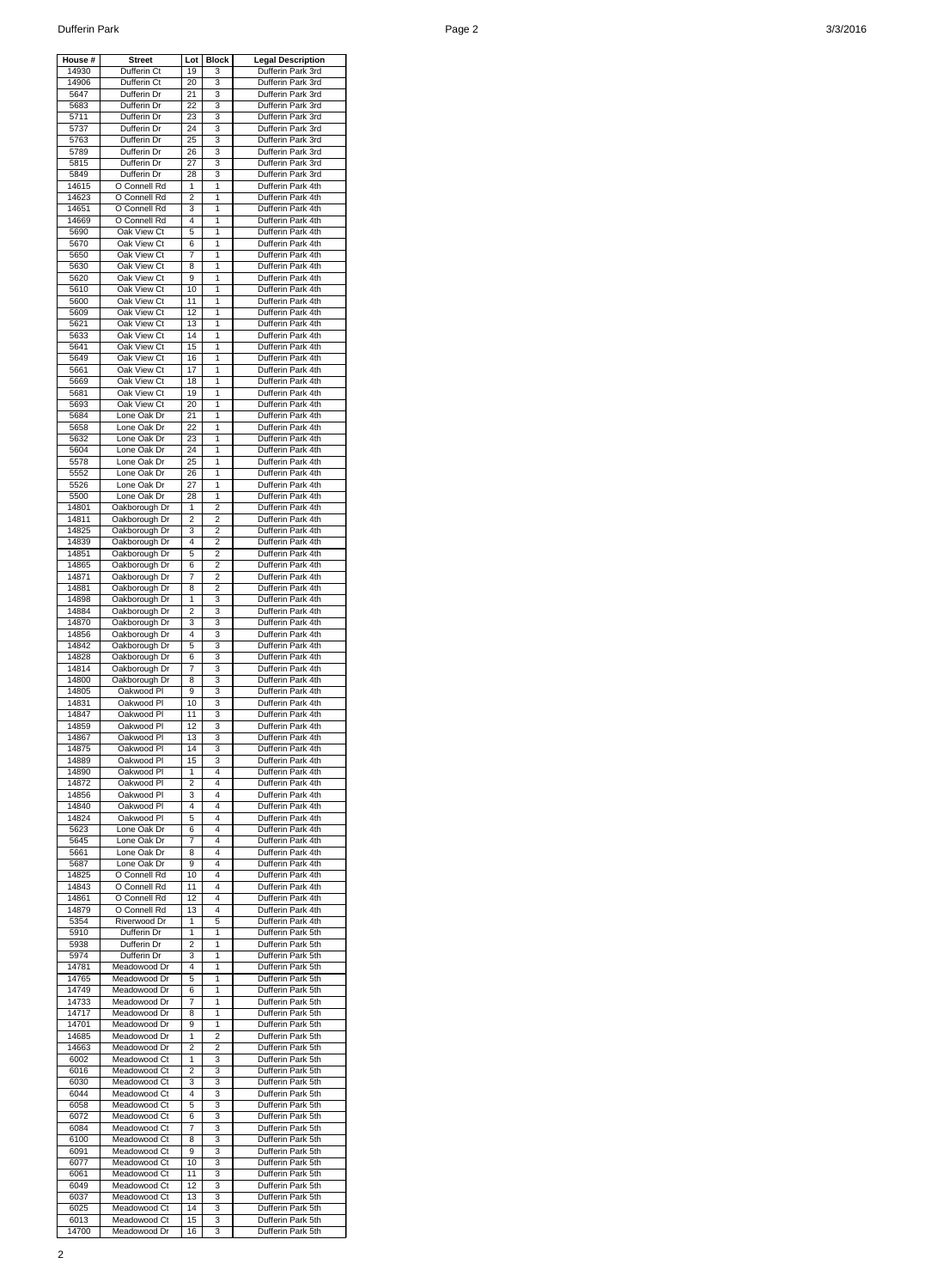| House #        | <b>Street</b>                  | Lot            | <b>Block</b> | <b>Legal Description</b>               |
|----------------|--------------------------------|----------------|--------------|----------------------------------------|
| 14930          | Dufferin Ct                    | 19             | 3            | Dufferin Park 3rd                      |
| 14906          | Dufferin Ct                    | 20             | 3            | Dufferin Park 3rd                      |
| 5647<br>5683   | Dufferin Dr<br>Dufferin Dr     | 21<br>22       | 3            | Dufferin Park 3rd                      |
| 5711           | Dufferin Dr                    | 23             | 3<br>3       | Dufferin Park 3rd<br>Dufferin Park 3rd |
| 5737           | Dufferin Dr                    | 24             | 3            | Dufferin Park 3rd                      |
| 5763           | Dufferin Dr                    | 25             | 3            | Dufferin Park 3rd                      |
| 5789           | Dufferin Dr                    | 26             | 3            | Dufferin Park 3rd                      |
| 5815           | Dufferin Dr                    | 27             | 3            | Dufferin Park 3rd                      |
| 5849           | Dufferin Dr                    | 28             | 3            | Dufferin Park 3rd                      |
| 14615          | O Connell Rd                   | 1              | 1            | Dufferin Park 4th                      |
| 14623          | O Connell Rd                   | 2              | 1            | Dufferin Park 4th                      |
| 14651          | O Connell Rd                   | 3              | 1            | Dufferin Park 4th                      |
| 14669<br>5690  | O Connell Rd<br>Oak View Ct    | 4<br>5         | 1<br>1       | Dufferin Park 4th<br>Dufferin Park 4th |
| 5670           | Oak View Ct                    | 6              | 1            | Dufferin Park 4th                      |
| 5650           | Oak View Ct                    | 7              | 1            | Dufferin Park 4th                      |
| 5630           | Oak View Ct                    | 8              | 1            | Dufferin Park 4th                      |
| 5620           | Oak View Ct                    | 9              | 1            | Dufferin Park 4th                      |
| 5610           | Oak View Ct                    | 10             | 1            | Dufferin Park 4th                      |
| 5600           | Oak View Ct                    | 11             | 1            | Dufferin Park 4th                      |
| 5609           | Oak View Ct                    | 12             | 1            | Dufferin Park 4th                      |
| 5621           | Oak View Ct<br>Oak View Ct     | 13<br>14       | 1<br>1       | Dufferin Park 4th                      |
| 5633<br>5641   | Oak View Ct                    | 15             | 1            | Dufferin Park 4th<br>Dufferin Park 4th |
| 5649           | Oak View Ct                    | 16             | 1            | Dufferin Park 4th                      |
| 5661           | Oak View Ct                    | 17             | 1            | Dufferin Park 4th                      |
| 5669           | Oak View Ct                    | 18             | 1            | Dufferin Park 4th                      |
| 5681           | Oak View Ct                    | 19             | 1            | Dufferin Park 4th                      |
| 5693           | Oak View Ct                    | 20             | 1            | Dufferin Park 4th                      |
| 5684           | Lone Oak Dr                    | 21             | 1            | Dufferin Park 4th                      |
| 5658           | Lone Oak Dr                    | 22             | 1            | Dufferin Park 4th                      |
| 5632           | Lone Oak Dr                    | 23             | 1            | Dufferin Park 4th                      |
| 5604<br>5578   | Lone Oak Dr<br>Lone Oak Dr     | 24<br>25       | 1<br>1       | Dufferin Park 4th<br>Dufferin Park 4th |
| 5552           | Lone Oak Dr                    | 26             | 1            | Dufferin Park 4th                      |
| 5526           | Lone Oak Dr                    | 27             | 1            | Dufferin Park 4th                      |
| 5500           | Lone Oak Dr                    | 28             | 1            | Dufferin Park 4th                      |
| 14801          | Oakborough Dr                  | 1              | 2            | Dufferin Park 4th                      |
| 14811          | Oakborough Dr                  | 2              | 2            | Dufferin Park 4th                      |
| 14825          | Oakborough Dr                  | 3              | 2            | Dufferin Park 4th                      |
| 14839          | Oakborough Dr                  | 4              | 2            | Dufferin Park 4th                      |
| 14851          | Oakborough Dr                  | 5              | 2            | Dufferin Park 4th                      |
| 14865<br>14871 | Oakborough Dr                  | 6<br>7         | 2<br>2       | Dufferin Park 4th<br>Dufferin Park 4th |
| 14881          | Oakborough Dr<br>Oakborough Dr | 8              | 2            | Dufferin Park 4th                      |
| 14898          | Oakborough Dr                  | 1              | 3            | Dufferin Park 4th                      |
| 14884          | Oakborough Dr                  | 2              | 3            | Dufferin Park 4th                      |
| 14870          | Oakborough Dr                  | 3              | 3            | Dufferin Park 4th                      |
| 14856          | Oakborough Dr                  | 4              | 3            | Dufferin Park 4th                      |
| 14842          | Oakborough Dr                  | 5              | 3            | Dufferin Park 4th                      |
| 14828          | Oakborough Dr                  | 6              | 3            | Dufferin Park 4th                      |
| 14814<br>14800 | Oakborough Dr                  | 7              | 3<br>3       | Dufferin Park 4th<br>Dufferin Park 4th |
| 14805          | Oakborough Dr<br>Oakwood Pl    | 8<br>9         | 3            | Dufferin Park 4th                      |
| 14831          | Oakwood Pl                     | 10             | 3            | Dufferin Park 4th                      |
| 14847          | Oakwood Pl                     | 11             | 3            | Dufferin Park 4th                      |
| 14859          | Oakwood Pl                     | 12             | 3            | Dufferin Park 4th                      |
| 14867          | Oakwood Pl                     | 13             | 3            | Dufferin Park 4th                      |
| 14875          | Oakwood Pl                     | 14             | 3            | Dufferin Park 4th                      |
| 14889          | Oakwood Pl                     | 15             | 3            | Dufferin Park 4th                      |
| 14890          | Oakwood Pl                     | 1              | 4            | Dufferin Park 4th                      |
| 14872          | Oakwood Pl                     | $\overline{2}$ | 4<br>4       | Dufferin Park 4th                      |
| 14856<br>14840 | Oakwood Pl<br>Oakwood Pl       | 3<br>4         | 4            | Dufferin Park 4th<br>Dufferin Park 4th |
| 14824          | Oakwood Pl                     | 5              | 4            | Dufferin Park 4th                      |
| 5623           | Lone Oak Dr                    | 6              | 4            | Dufferin Park 4th                      |
| 5645           | Lone Oak Dr                    | 7              | 4            | Dufferin Park 4th                      |
| 5661           | Lone Oak Dr                    | 8              | 4            | Dufferin Park 4th                      |
| 5687           | Lone Oak Dr                    | 9              | 4            | Dufferin Park 4th                      |
| 14825          | O Connell Rd                   | 10             | 4            | Dufferin Park 4th                      |
| 14843          | O Connell Rd                   | 11             | 4            | Dufferin Park 4th                      |
| 14861          | O Connell Rd<br>O Connell Rd   | 12             | 4            | Dufferin Park 4th                      |
| 14879<br>5354  | Riverwood Dr                   | 13<br>1        | 4<br>5       | Dufferin Park 4th<br>Dufferin Park 4th |
| 5910           | Dufferin Dr                    | 1              | $\mathbf{1}$ | Dufferin Park 5th                      |
| 5938           | Dufferin Dr                    | $\overline{2}$ | 1            | Dufferin Park 5th                      |
| 5974           | Dufferin Dr                    | 3              | 1            | Dufferin Park 5th                      |
| 14781          | Meadowood Dr                   | 4              | 1            | Dufferin Park 5th                      |
| 14765          | Meadowood Dr                   | 5              | 1            | Dufferin Park 5th                      |
| 14749          | Meadowood Dr                   | 6              | $\mathbf{1}$ | Dufferin Park 5th                      |
| 14733          | Meadowood Dr                   | 7              | 1            | Dufferin Park 5th                      |
| 14717          | Meadowood Dr                   | 8              | 1            | Dufferin Park 5th                      |
| 14701<br>14685 | Meadowood Dr<br>Meadowood Dr   | 9<br>1         | 1<br>2       | Dufferin Park 5th<br>Dufferin Park 5th |
| 14663          | Meadowood Dr                   | 2              | 2            | Dufferin Park 5th                      |
| 6002           | Meadowood Ct                   | 1              | 3            | Dufferin Park 5th                      |
| 6016           | Meadowood Ct                   | 2              | 3            | Dufferin Park 5th                      |
| 6030           | Meadowood Ct                   | 3              | 3            | Dufferin Park 5th                      |
| 6044           | Meadowood Ct                   | 4              | 3            | Dufferin Park 5th                      |
| 6058           | Meadowood Ct                   | 5              | 3            | Dufferin Park 5th                      |
| 6072           | Meadowood Ct                   | 6              | 3            | Dufferin Park 5th                      |
| 6084           | Meadowood Ct<br>Meadowood Ct   | 7              | 3            | Dufferin Park 5th                      |
| 6100<br>6091   | Meadowood Ct                   | 8<br>9         | 3<br>3       | Dufferin Park 5th<br>Dufferin Park 5th |
| 6077           | Meadowood Ct                   | 10             | 3            | Dufferin Park 5th                      |
| 6061           | Meadowood Ct                   | 11             | 3            | Dufferin Park 5th                      |
| 6049           | Meadowood Ct                   | 12             | 3            | Dufferin Park 5th                      |
| 6037           | Meadowood Ct                   | 13             | 3            | Dufferin Park 5th                      |
| 6025           | Meadowood Ct                   | 14             | 3            | Dufferin Park 5th                      |
| 6013           | Meadowood Ct                   | 15             | 3            | Dufferin Park 5th                      |
| 14700          | Meadowood Dr                   | 16             | 3            | Dufferin Park 5th                      |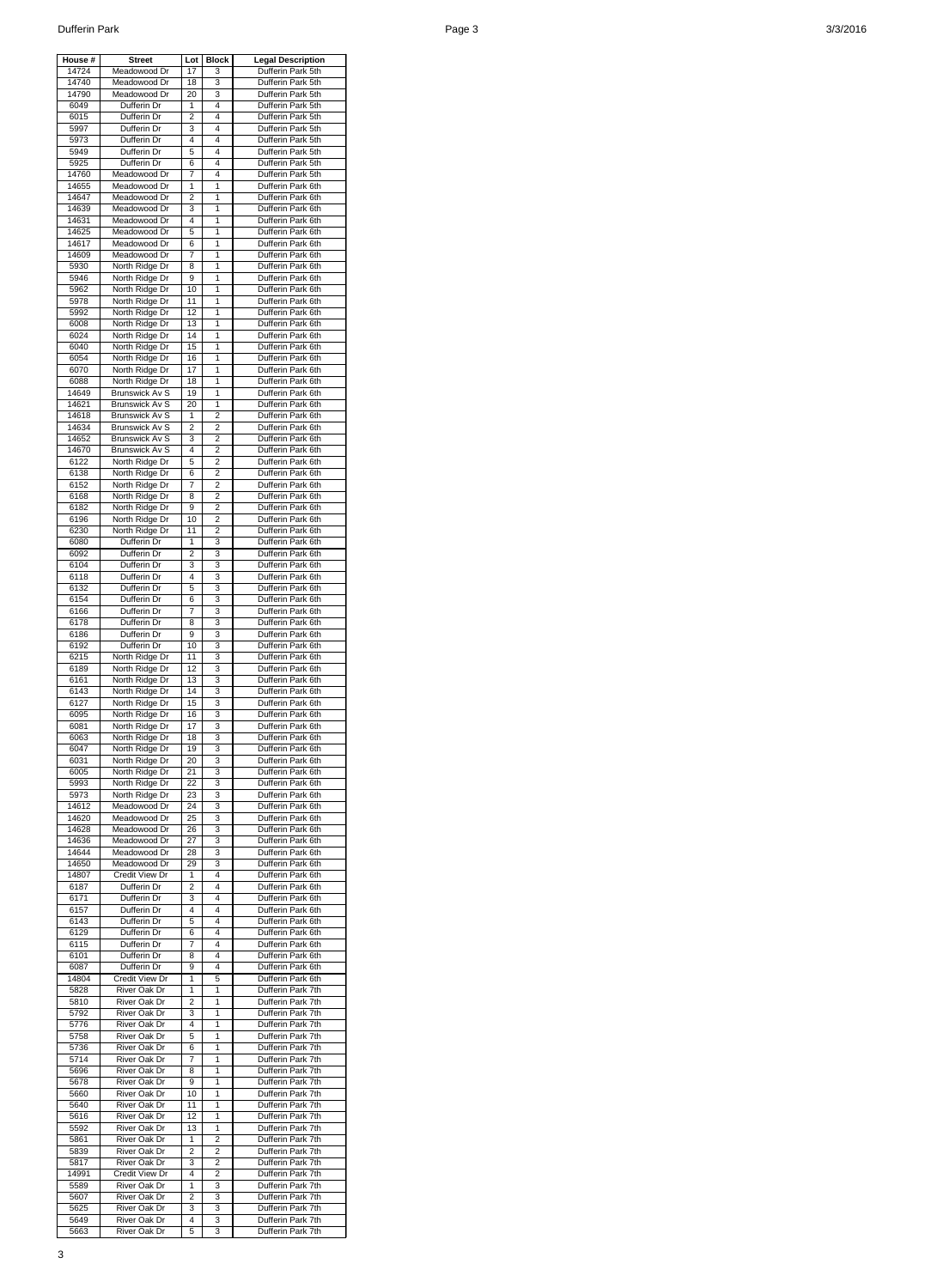| House #        | <b>Street</b>                           | Lot      | <b>Block</b>        | <b>Legal Description</b>               |
|----------------|-----------------------------------------|----------|---------------------|----------------------------------------|
| 14724          | Meadowood Dr<br>Meadowood Dr            | 17<br>18 | 3<br>3              | Dufferin Park 5th                      |
| 14740<br>14790 | Meadowood Dr                            | 20       | 3                   | Dufferin Park 5th<br>Dufferin Park 5th |
| 6049           | Dufferin Dr                             | 1        | 4                   | Dufferin Park 5th                      |
| 6015           | Dufferin Dr                             | 2        | 4                   | Dufferin Park 5th                      |
| 5997           | Dufferin Dr<br>Dufferin Dr              | 3<br>4   | 4<br>4              | Dufferin Park 5th<br>Dufferin Park 5th |
| 5973<br>5949   | Dufferin Dr                             | 5        | 4                   | Dufferin Park 5th                      |
| 5925           | Dufferin Dr                             | 6        | 4                   | Dufferin Park 5th                      |
| 14760          | Meadowood Dr                            | 7        | 4                   | Dufferin Park 5th                      |
| 14655          | Meadowood Dr                            | 1        | 1                   | Dufferin Park 6th                      |
| 14647<br>14639 | Meadowood Dr<br>Meadowood Dr            | 2<br>3   | 1<br>1              | Dufferin Park 6th<br>Dufferin Park 6th |
| 14631          | Meadowood Dr                            | 4        | 1                   | Dufferin Park 6th                      |
| 14625          | Meadowood Dr                            | 5        | 1                   | Dufferin Park 6th                      |
| 14617          | Meadowood Dr                            | 6        | 1                   | Dufferin Park 6th                      |
| 14609          | Meadowood Dr                            | 7        | 1<br>$\mathbf{1}$   | Dufferin Park 6th                      |
| 5930<br>5946   | North Ridge Dr<br>North Ridge Dr        | 8<br>9   | 1                   | Dufferin Park 6th<br>Dufferin Park 6th |
| 5962           | North Ridge Dr                          | 10       | 1                   | Dufferin Park 6th                      |
| 5978           | North Ridge Dr                          | 11       | 1                   | Dufferin Park 6th                      |
| 5992           | North Ridge Dr                          | 12       | 1                   | Dufferin Park 6th                      |
| 6008<br>6024   | North Ridge Dr<br>North Ridge Dr        | 13<br>14 | 1<br>1              | Dufferin Park 6th<br>Dufferin Park 6th |
| 6040           | North Ridge Dr                          | 15       | 1                   | Dufferin Park 6th                      |
| 6054           | North Ridge Dr                          | 16       | 1                   | Dufferin Park 6th                      |
| 6070           | North Ridge Dr                          | 17       | 1                   | Dufferin Park 6th                      |
| 6088           | North Ridge Dr                          | 18       | 1                   | Dufferin Park 6th                      |
| 14649<br>14621 | <b>Brunswick Av S</b><br>Brunswick Av S | 19<br>20 | 1<br>1              | Dufferin Park 6th<br>Dufferin Park 6th |
| 14618          | <b>Brunswick Av S</b>                   | 1        | $\overline{2}$      | Dufferin Park 6th                      |
| 14634          | <b>Brunswick Av S</b>                   | 2        | 2                   | Dufferin Park 6th                      |
| 14652          | <b>Brunswick Av S</b>                   | 3        | 2                   | Dufferin Park 6th                      |
| 14670          | Brunswick Av S                          | 4        | 2                   | Dufferin Park 6th                      |
| 6122<br>6138   | North Ridge Dr<br>North Ridge Dr        | 5<br>6   | 2<br>$\overline{2}$ | Dufferin Park 6th<br>Dufferin Park 6th |
| 6152           | North Ridge Dr                          | 7        | $\overline{2}$      | Dufferin Park 6th                      |
| 6168           | North Ridge Dr                          | 8        | 2                   | Dufferin Park 6th                      |
| 6182           | North Ridge Dr                          | 9        | 2                   | Dufferin Park 6th                      |
| 6196           | North Ridge Dr                          | 10       | $\overline{2}$      | Dufferin Park 6th<br>Dufferin Park 6th |
| 6230<br>6080   | North Ridge Dr<br>Dufferin Dr           | 11<br>1  | 2<br>3              | Dufferin Park 6th                      |
| 6092           | Dufferin Dr                             | 2        | 3                   | Dufferin Park 6th                      |
| 6104           | Dufferin Dr                             | 3        | 3                   | Dufferin Park 6th                      |
| 6118           | Dufferin Dr                             | 4        | 3                   | Dufferin Park 6th                      |
| 6132<br>6154   | Dufferin Dr<br>Dufferin Dr              | 5<br>6   | 3<br>3              | Dufferin Park 6th<br>Dufferin Park 6th |
| 6166           | Dufferin Dr                             | 7        | 3                   | Dufferin Park 6th                      |
| 6178           | Dufferin Dr                             | 8        | 3                   | Dufferin Park 6th                      |
| 6186           | Dufferin Dr                             | 9        | 3                   | Dufferin Park 6th                      |
| 6192           | Dufferin Dr                             | 10       | 3                   | Dufferin Park 6th                      |
| 6215<br>6189   | North Ridge Dr<br>North Ridge Dr        | 11<br>12 | 3<br>3              | Dufferin Park 6th<br>Dufferin Park 6th |
| 6161           | North Ridge Dr                          | 13       | 3                   | Dufferin Park 6th                      |
| 6143           | North Ridge Dr                          | 14       | 3                   | Dufferin Park 6th                      |
| 6127           | North Ridge Dr                          | 15       | 3                   | Dufferin Park 6th                      |
| 6095           | North Ridge Dr                          | 16       | 3<br>3              | Dufferin Park 6th                      |
| 6081<br>6063   | North Ridge Dr<br>North Ridge Dr        | 17<br>18 | 3                   | Dufferin Park 6th<br>Dufferin Park 6th |
| 6047           | North Ridge Dr                          | 19       | 3                   | Dufferin Park 6th                      |
| 6031           | North Ridge Dr                          | 20       | 3                   | Dufferin Park 6th                      |
| 6005           | North Ridge Dr                          | 21       | 3                   | Dufferin Park 6th                      |
| 5993<br>5973   | North Ridge Dr<br>North Ridge Dr        | 22<br>23 | 3<br>3              | Dufferin Park 6th<br>Dufferin Park 6th |
| 14612          | Meadowood Dr                            | 24       | 3                   | Dufferin Park 6th                      |
| 14620          | Meadowood Dr                            | 25       | 3                   | Dufferin Park 6th                      |
| 14628          | Meadowood Dr                            | 26       | 3                   | Dufferin Park 6th                      |
| 14636          | Meadowood Dr                            | 27       | 3                   | Dufferin Park 6th                      |
| 14644<br>14650 | Meadowood Dr<br>Meadowood Dr            | 28<br>29 | 3<br>3              | Dufferin Park 6th<br>Dufferin Park 6th |
| 14807          | Credit View Dr                          | 1        | 4                   | Dufferin Park 6th                      |
| 6187           | Dufferin Dr                             | 2        | 4                   | Dufferin Park 6th                      |
| 6171           | Dufferin Dr                             | 3        | 4                   | Dufferin Park 6th                      |
| 6157           | Dufferin Dr                             | 4        | 4                   | Dufferin Park 6th                      |
| 6143<br>6129   | Dufferin Dr<br>Dufferin Dr              | 5<br>6   | 4<br>4              | Dufferin Park 6th<br>Dufferin Park 6th |
| 6115           | Dufferin Dr                             | 7        | 4                   | Dufferin Park 6th                      |
| 6101           | Dufferin Dr                             | 8        | 4                   | Dufferin Park 6th                      |
| 6087           | Dufferin Dr                             | 9        | 4                   | Dufferin Park 6th                      |
| 14804<br>5828  | Credit View Dr<br>River Oak Dr          | 1<br>1   | 5<br>1              | Dufferin Park 6th<br>Dufferin Park 7th |
| 5810           | River Oak Dr                            | 2        | 1                   | Dufferin Park 7th                      |
| 5792           | River Oak Dr                            | 3        | 1                   | Dufferin Park 7th                      |
| 5776           | River Oak Dr                            | 4        | 1                   | Dufferin Park 7th                      |
| 5758<br>5736   | River Oak Dr<br>River Oak Dr            | 5<br>6   | 1<br>1              | Dufferin Park 7th<br>Dufferin Park 7th |
| 5714           | River Oak Dr                            | 7        | 1                   | Dufferin Park 7th                      |
| 5696           | River Oak Dr                            | 8        | 1                   | Dufferin Park 7th                      |
| 5678           | River Oak Dr                            | 9        | 1                   | Dufferin Park 7th                      |
| 5660           | River Oak Dr                            | 10       | 1                   | Dufferin Park 7th                      |
| 5640<br>5616   | River Oak Dr<br>River Oak Dr            | 11<br>12 | 1<br>1              | Dufferin Park 7th<br>Dufferin Park 7th |
| 5592           | River Oak Dr                            | 13       | 1                   | Dufferin Park 7th                      |
| 5861           | River Oak Dr                            | 1        | 2                   | Dufferin Park 7th                      |
| 5839           | River Oak Dr                            | 2        | 2                   | Dufferin Park 7th                      |
| 5817<br>14991  | River Oak Dr<br>Credit View Dr          | 3        | 2                   | Dufferin Park 7th<br>Dufferin Park 7th |
| 5589           | River Oak Dr                            | 4<br>1   | 2<br>3              | Dufferin Park 7th                      |
| 5607           | River Oak Dr                            | 2        | 3                   | Dufferin Park 7th                      |
| 5625           | River Oak Dr                            | 3        | 3                   | Dufferin Park 7th                      |
| 5649           | River Oak Dr                            | 4        | 3                   | Dufferin Park 7th                      |
| 5663           | River Oak Dr                            | 5        | 3                   | Dufferin Park 7th                      |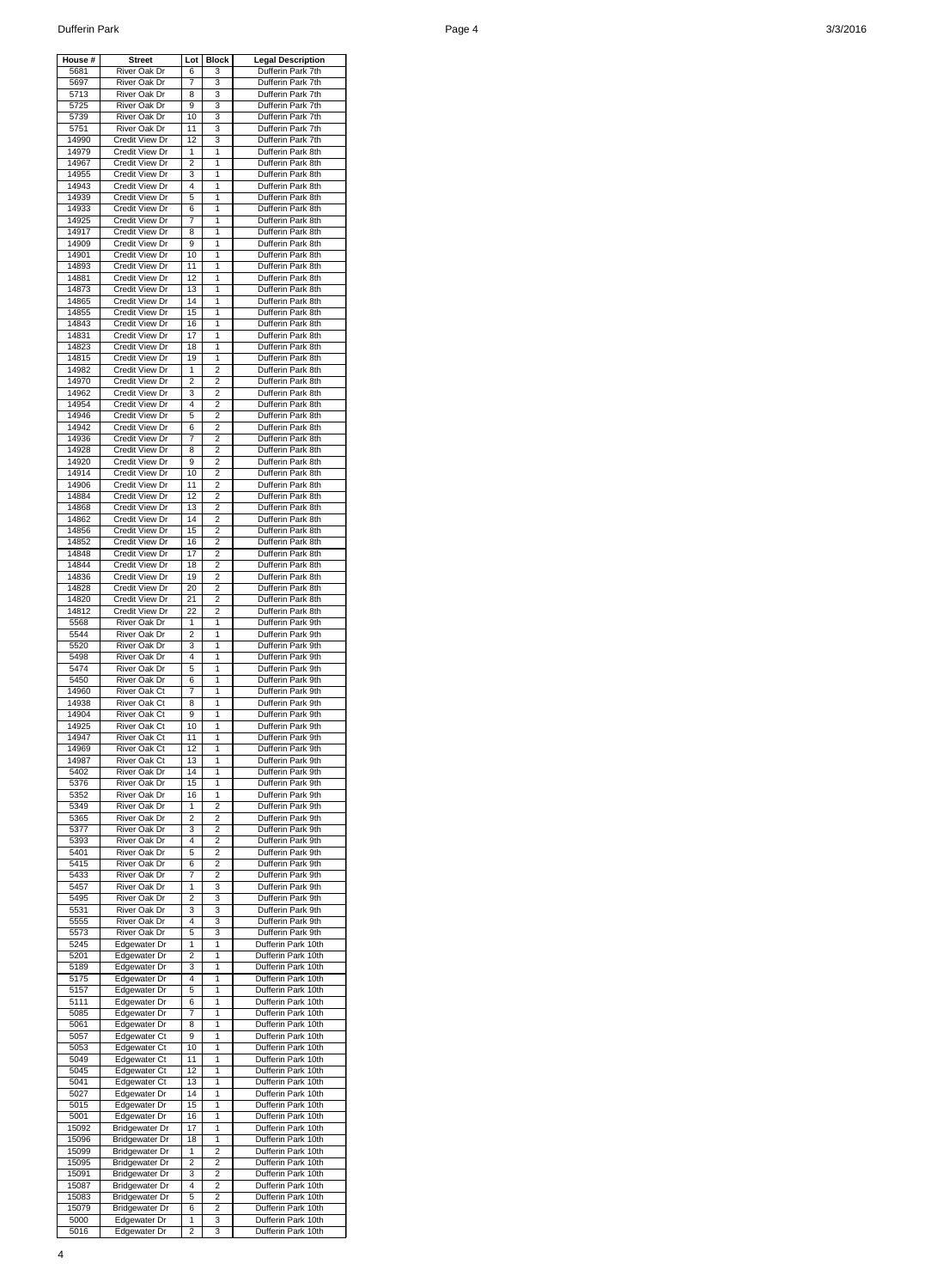| House #        | <b>Street</b>                                  | Lot                 | <b>Block</b>        | <b>Legal Description</b>                 |
|----------------|------------------------------------------------|---------------------|---------------------|------------------------------------------|
| 5681<br>5697   | River Oak Dr<br>River Oak Dr                   | 6<br>7              | 3<br>3              | Dufferin Park 7th<br>Dufferin Park 7th   |
| 5713           | River Oak Dr                                   | 8                   | 3                   | Dufferin Park 7th                        |
| 5725<br>5739   | <b>River Oak Dr</b><br>River Oak Dr            | 9<br>10             | 3<br>3              | Dufferin Park 7th<br>Dufferin Park 7th   |
| 5751           | River Oak Dr                                   | 11                  | 3                   | Dufferin Park 7th                        |
| 14990          | <b>Credit View Dr</b>                          | 12                  | 3                   | Dufferin Park 7th                        |
| 14979<br>14967 | Credit View Dr<br>Credit View Dr               | 1<br>2              | 1<br>1              | Dufferin Park 8th<br>Dufferin Park 8th   |
| 14955          | Credit View Dr                                 | 3                   | 1                   | Dufferin Park 8th                        |
| 14943<br>14939 | Credit View Dr<br>Credit View Dr               | 4<br>5              | 1<br>1              | Dufferin Park 8th<br>Dufferin Park 8th   |
| 14933          | Credit View Dr                                 | 6                   | 1                   | Dufferin Park 8th                        |
| 14925          | Credit View Dr                                 | 7                   | 1                   | Dufferin Park 8th                        |
| 14917<br>14909 | Credit View Dr<br>Credit View Dr               | 8<br>9              | 1<br>1              | Dufferin Park 8th<br>Dufferin Park 8th   |
| 14901          | <b>Credit View Dr</b>                          | 10                  | 1                   | Dufferin Park 8th                        |
| 14893          | Credit View Dr                                 | 11                  | 1                   | Dufferin Park 8th                        |
| 14881<br>14873 | <b>Credit View Dr</b><br>Credit View Dr        | 12<br>13            | 1<br>1              | Dufferin Park 8th<br>Dufferin Park 8th   |
| 14865          | <b>Credit View Dr</b>                          | 14                  | 1                   | Dufferin Park 8th                        |
| 14855          | Credit View Dr                                 | 15                  | 1                   | Dufferin Park 8th                        |
| 14843<br>14831 | Credit View Dr<br>Credit View Dr               | 16<br>17            | 1<br>1              | Dufferin Park 8th<br>Dufferin Park 8th   |
| 14823          | <b>Credit View Dr</b>                          | 18                  | 1                   | Dufferin Park 8th                        |
| 14815          | Credit View Dr                                 | 19                  | 1<br>2              | Dufferin Park 8th                        |
| 14982<br>14970 | Credit View Dr<br>Credit View Dr               | 1<br>2              | 2                   | Dufferin Park 8th<br>Dufferin Park 8th   |
| 14962          | <b>Credit View Dr</b>                          | 3                   | 2                   | Dufferin Park 8th                        |
| 14954<br>14946 | <b>Credit View Dr</b><br>Credit View Dr        | 4<br>5              | 2<br>2              | Dufferin Park 8th<br>Dufferin Park 8th   |
| 14942          | Credit View Dr                                 | 6                   | 2                   | Dufferin Park 8th                        |
| 14936          | Credit View Dr                                 | 7                   | 2                   | Dufferin Park 8th                        |
| 14928<br>14920 | Credit View Dr<br>Credit View Dr               | 8<br>9              | 2<br>2              | Dufferin Park 8th<br>Dufferin Park 8th   |
| 14914          | <b>Credit View Dr</b>                          | 10                  | 2                   | Dufferin Park 8th                        |
| 14906          | Credit View Dr                                 | 11                  | 2                   | Dufferin Park 8th                        |
| 14884<br>14868 | Credit View Dr<br><b>Credit View Dr</b>        | 12<br>13            | 2<br>2              | Dufferin Park 8th<br>Dufferin Park 8th   |
| 14862          | Credit View Dr                                 | 14                  | 2                   | Dufferin Park 8th                        |
| 14856          | Credit View Dr                                 | 15                  | 2                   | Dufferin Park 8th                        |
| 14852<br>14848 | Credit View Dr<br>Credit View Dr               | 16<br>17            | 2<br>2              | Dufferin Park 8th<br>Dufferin Park 8th   |
| 14844          | Credit View Dr                                 | 18                  | 2                   | Dufferin Park 8th                        |
| 14836<br>14828 | <b>Credit View Dr</b><br>Credit View Dr        | 19                  | 2<br>2              | Dufferin Park 8th                        |
| 14820          | Credit View Dr                                 | 20<br>21            | 2                   | Dufferin Park 8th<br>Dufferin Park 8th   |
| 14812          | Credit View Dr                                 | 22                  | 2                   | Dufferin Park 8th                        |
| 5568<br>5544   | River Oak Dr<br>River Oak Dr                   | 1<br>2              | 1<br>1              | Dufferin Park 9th<br>Dufferin Park 9th   |
| 5520           | River Oak Dr                                   | 3                   | 1                   | Dufferin Park 9th                        |
| 5498           | River Oak Dr                                   | 4                   | 1                   | Dufferin Park 9th                        |
| 5474<br>5450   | River Oak Dr<br>River Oak Dr                   | 5<br>6              | 1<br>1              | Dufferin Park 9th<br>Dufferin Park 9th   |
| 14960          | <b>River Oak Ct</b>                            | 7                   | 1                   | Dufferin Park 9th                        |
| 14938          | River Oak Ct                                   | 8                   | 1                   | Dufferin Park 9th                        |
| 14904<br>14925 | River Oak Ct<br><b>River Oak Ct</b>            | 9<br>10             | 1<br>1              | Dufferin Park 9th<br>Dufferin Park 9th   |
| 14947          | <b>River Oak Ct</b>                            | 11                  | 1                   | Dufferin Park 9th                        |
| 14969          | <b>River Oak Ct</b>                            | 12                  | 1                   | Dufferin Park 9th                        |
| 14987<br>5402  | River Oak Ct<br>River Oak Dr                   | 13<br>14            | 1<br>1              | Dufferin Park 9th<br>Dufferin Park 9th   |
| 5376           | River Oak Dr                                   | 15                  | 1                   | Dufferin Park 9th                        |
| 5352<br>5349   | River Oak Dr<br>River Oak Dr                   | 16<br>1             | 1<br>2              | Dufferin Park 9th<br>Dufferin Park 9th   |
| 5365           | River Oak Dr                                   | 2                   | 2                   | Dufferin Park 9th                        |
| 5377           | River Oak Dr                                   | 3                   | 2                   | Dufferin Park 9th                        |
| 5393<br>5401   | River Oak Dr<br>River Oak Dr                   | 4<br>5              | 2<br>2              | Dufferin Park 9th<br>Dufferin Park 9th   |
| 5415           | River Oak Dr                                   | 6                   | 2                   | Dufferin Park 9th                        |
| 5433           | River Oak Dr                                   | 7                   | 2                   | Dufferin Park 9th                        |
| 5457<br>5495   | River Oak Dr<br>River Oak Dr                   | 1<br>2              | 3<br>3              | Dufferin Park 9th<br>Dufferin Park 9th   |
| 5531           | <b>River Oak Dr</b>                            | 3                   | 3                   | Dufferin Park 9th                        |
| 5555<br>5573   | <b>River Oak Dr</b><br>River Oak Dr            | 4<br>5              | 3<br>3              | Dufferin Park 9th<br>Dufferin Park 9th   |
| 5245           | Edgewater Dr                                   | 1                   | 1                   | Dufferin Park 10th                       |
| 5201           | Edgewater Dr                                   | 2                   | 1                   | Dufferin Park 10th                       |
| 5189<br>5175   | Edgewater Dr<br>Edgewater Dr                   | 3<br>4              | 1<br>1              | Dufferin Park 10th<br>Dufferin Park 10th |
| 5157           | Edgewater Dr                                   | 5                   | 1                   | Dufferin Park 10th                       |
| 5111           | Edgewater Dr                                   | 6                   | 1                   | Dufferin Park 10th                       |
| 5085<br>5061   | Edgewater Dr<br>Edgewater Dr                   | 7<br>8              | 1<br>1              | Dufferin Park 10th<br>Dufferin Park 10th |
| 5057           | Edgewater Ct                                   | 9                   | 1                   | Dufferin Park 10th                       |
| 5053<br>5049   | Edgewater Ct<br><b>Edgewater Ct</b>            | 10<br>11            | 1<br>1              | Dufferin Park 10th<br>Dufferin Park 10th |
| 5045           | Edgewater Ct                                   | 12                  | 1                   | Dufferin Park 10th                       |
| 5041           | <b>Edgewater Ct</b>                            | 13                  | 1                   | Dufferin Park 10th                       |
| 5027<br>5015   | Edgewater Dr<br>Edgewater Dr                   | 14<br>15            | 1<br>1              | Dufferin Park 10th<br>Dufferin Park 10th |
| 5001           | Edgewater Dr                                   | 16                  | 1                   | Dufferin Park 10th                       |
| 15092          | <b>Bridgewater Dr</b>                          | 17                  | 1                   | Dufferin Park 10th                       |
| 15096<br>15099 | <b>Bridgewater Dr</b><br><b>Bridgewater Dr</b> | 18<br>1             | 1<br>2              | Dufferin Park 10th<br>Dufferin Park 10th |
| 15095          | <b>Bridgewater Dr</b>                          | 2                   | 2                   | Dufferin Park 10th                       |
| 15091          | <b>Bridgewater Dr</b>                          | 3                   | 2                   | Dufferin Park 10th                       |
| 15087<br>15083 | Bridgewater Dr<br><b>Bridgewater Dr</b>        | 4<br>5              | $\overline{2}$<br>2 | Dufferin Park 10th<br>Dufferin Park 10th |
| 15079          | <b>Bridgewater Dr</b>                          | 6                   | 2                   | Dufferin Park 10th                       |
| 5000<br>5016   | Edgewater Dr<br>Edgewater Dr                   | 1<br>$\overline{2}$ | 3<br>3              | Dufferin Park 10th<br>Dufferin Park 10th |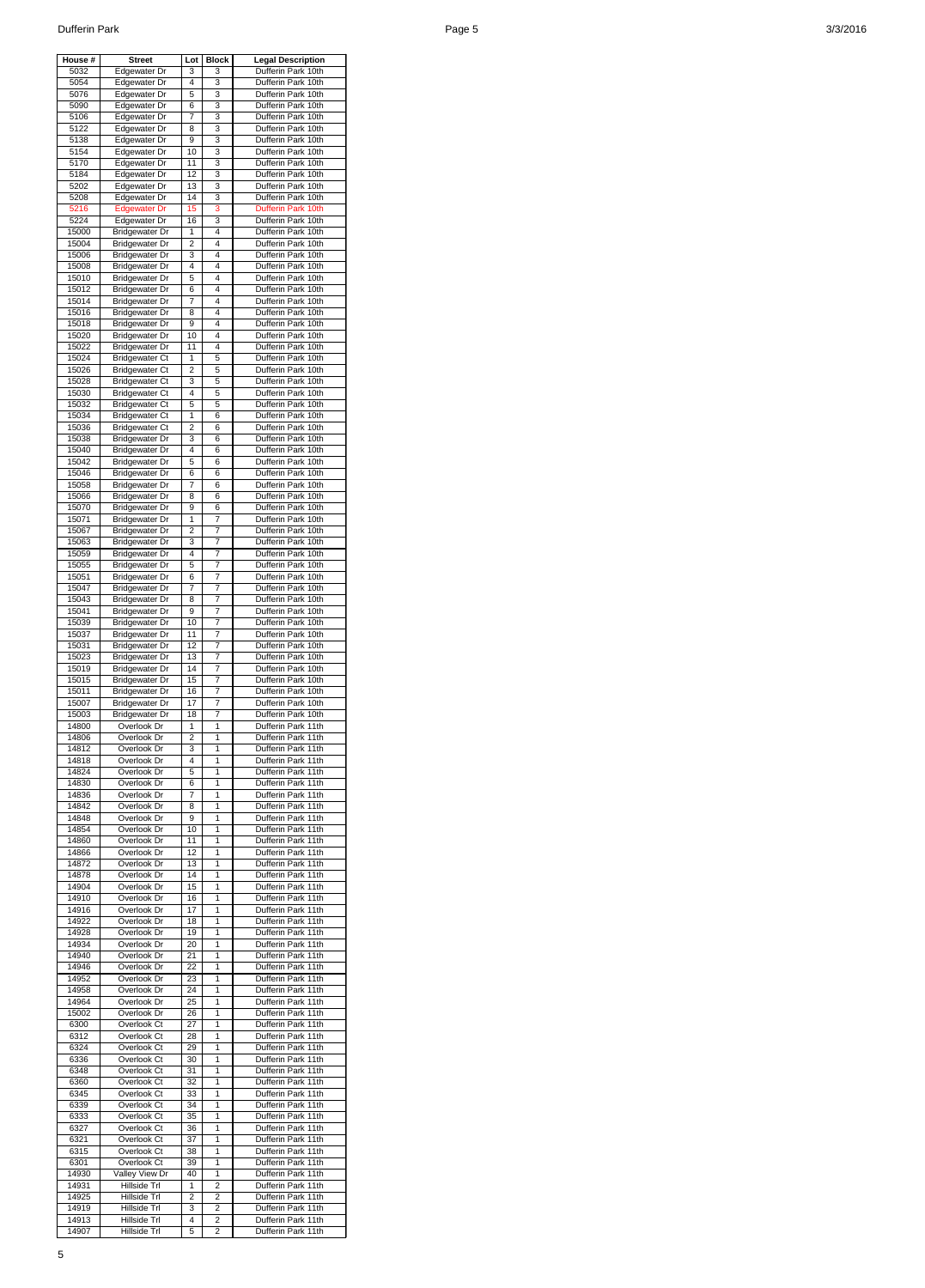| House #        | <b>Street</b>                                  | Lot                 | <b>Block</b>                     | <b>Legal Description</b>                 |
|----------------|------------------------------------------------|---------------------|----------------------------------|------------------------------------------|
| 5032<br>5054   | <b>Edgewater Dr</b><br>Edgewater Dr            | 3<br>4              | 3<br>3                           | Dufferin Park 10th<br>Dufferin Park 10th |
| 5076           | Edgewater Dr                                   | 5                   | 3                                | Dufferin Park 10th                       |
| 5090           | Edgewater Dr                                   | 6                   | 3                                | Dufferin Park 10th                       |
| 5106           | Edgewater Dr                                   | 7                   | 3                                | Dufferin Park 10th                       |
| 5122<br>5138   | Edgewater Dr<br>Edgewater Dr                   | 8<br>9              | 3<br>3                           | Dufferin Park 10th<br>Dufferin Park 10th |
| 5154           | Edgewater Dr                                   | 10                  | 3                                | Dufferin Park 10th                       |
| 5170           | Edgewater Dr                                   | 11                  | 3                                | Dufferin Park 10th                       |
| 5184<br>5202   | Edgewater Dr<br>Edgewater Dr                   | 12<br>13            | 3<br>3                           | Dufferin Park 10th<br>Dufferin Park 10th |
| 5208           | Edgewater Dr                                   | 14                  | 3                                | Dufferin Park 10th                       |
| 5216           | <b>Edgewater Dr</b>                            | 15                  | 3                                | Dufferin Park 10th                       |
| 5224           | Edgewater Dr                                   | 16                  | 3                                | Dufferin Park 10th                       |
| 15000<br>15004 | <b>Bridgewater Dr</b><br><b>Bridgewater Dr</b> | 1<br>$\overline{2}$ | 4<br>4                           | Dufferin Park 10th<br>Dufferin Park 10th |
| 15006          | <b>Bridgewater Dr</b>                          | 3                   | 4                                | Dufferin Park 10th                       |
| 15008          | <b>Bridgewater Dr</b>                          | 4                   | 4                                | Dufferin Park 10th                       |
| 15010<br>15012 | <b>Bridgewater Dr</b><br><b>Bridgewater Dr</b> | 5<br>6              | 4<br>4                           | Dufferin Park 10th<br>Dufferin Park 10th |
| 15014          | <b>Bridgewater Dr</b>                          | 7                   | 4                                | Dufferin Park 10th                       |
| 15016          | <b>Bridgewater Dr</b>                          | 8                   | 4                                | Dufferin Park 10th                       |
| 15018          | <b>Bridgewater Dr</b>                          | 9                   | 4                                | Dufferin Park 10th                       |
| 15020<br>15022 | <b>Bridgewater Dr</b><br><b>Bridgewater Dr</b> | 10<br>11            | 4<br>4                           | Dufferin Park 10th<br>Dufferin Park 10th |
| 15024          | <b>Bridgewater Ct</b>                          | 1                   | 5                                | Dufferin Park 10th                       |
| 15026          | <b>Bridgewater Ct</b>                          | 2                   | 5                                | Dufferin Park 10th                       |
| 15028          | <b>Bridgewater Ct</b>                          | 3                   | 5                                | Dufferin Park 10th                       |
| 15030<br>15032 | <b>Bridgewater Ct</b><br><b>Bridgewater Ct</b> | 4<br>5              | 5<br>5                           | Dufferin Park 10th<br>Dufferin Park 10th |
| 15034          | <b>Bridgewater Ct</b>                          | 1                   | 6                                | Dufferin Park 10th                       |
| 15036          | <b>Bridgewater Ct</b>                          | 2                   | 6                                | Dufferin Park 10th                       |
| 15038          | <b>Bridgewater Dr</b>                          | 3                   | 6                                | Dufferin Park 10th                       |
| 15040<br>15042 | <b>Bridgewater Dr</b><br><b>Bridgewater Dr</b> | 4<br>5              | 6<br>6                           | Dufferin Park 10th<br>Dufferin Park 10th |
| 15046          | <b>Bridgewater Dr</b>                          | 6                   | 6                                | Dufferin Park 10th                       |
| 15058          | <b>Bridgewater Dr</b>                          | 7                   | 6                                | Dufferin Park 10th                       |
| 15066          | <b>Bridgewater Dr</b><br><b>Bridgewater Dr</b> | 8                   | 6                                | Dufferin Park 10th                       |
| 15070<br>15071 | Bridgewater Dr                                 | 9<br>1              | 6<br>7                           | Dufferin Park 10th<br>Dufferin Park 10th |
| 15067          | <b>Bridgewater Dr</b>                          | 2                   | 7                                | Dufferin Park 10th                       |
| 15063          | <b>Bridgewater Dr</b>                          | 3                   | 7                                | Dufferin Park 10th                       |
| 15059          | <b>Bridgewater Dr</b>                          | 4<br>5              | $\overline{7}$                   | Dufferin Park 10th<br>Dufferin Park 10th |
| 15055<br>15051 | <b>Bridgewater Dr</b><br><b>Bridgewater Dr</b> | 6                   | 7<br>7                           | Dufferin Park 10th                       |
| 15047          | <b>Bridgewater Dr</b>                          | 7                   | 7                                | Dufferin Park 10th                       |
| 15043          | <b>Bridgewater Dr</b>                          | 8                   | 7                                | Dufferin Park 10th                       |
| 15041<br>15039 | <b>Bridgewater Dr</b><br><b>Bridgewater Dr</b> | 9<br>10             | 7<br>7                           | Dufferin Park 10th<br>Dufferin Park 10th |
| 15037          | <b>Bridgewater Dr</b>                          | 11                  | 7                                | Dufferin Park 10th                       |
| 15031          | <b>Bridgewater Dr</b>                          | 12                  | 7                                | Dufferin Park 10th                       |
| 15023          | <b>Bridgewater Dr</b>                          | 13                  | 7                                | Dufferin Park 10th                       |
| 15019<br>15015 | <b>Bridgewater Dr</b><br><b>Bridgewater Dr</b> | 14<br>15            | $\overline{7}$<br>$\overline{7}$ | Dufferin Park 10th<br>Dufferin Park 10th |
| 15011          | <b>Bridgewater Dr</b>                          | 16                  | 7                                | Dufferin Park 10th                       |
| 15007          | <b>Bridgewater Dr</b>                          | 17                  | 7                                | Dufferin Park 10th                       |
| 15003          | <b>Bridgewater Dr</b>                          | 18                  | 7                                | Dufferin Park 10th                       |
| 14800<br>14806 | Overlook Dr<br>Overlook Dr                     | 1<br>2              | 1<br>1                           | Dufferin Park 11th<br>Dufferin Park 11th |
| 14812          | Overlook Dr                                    | 3                   | 1                                | Dufferin Park 11th                       |
| 14818          | Overlook Dr                                    | 4                   | 1                                | Dufferin Park 11th                       |
| 14824<br>14830 | Overlook Dr<br>Overlook Dr                     | 5<br>6              | 1<br>1                           | Dufferin Park 11th<br>Dufferin Park 11th |
| 14836          | Overlook Dr                                    | 7                   | $\mathbf{1}$                     | Dufferin Park 11th                       |
| 14842          | Overlook Dr                                    | 8                   | 1                                | Dufferin Park 11th                       |
| 14848          | Overlook Dr                                    | 9                   | 1                                | Dufferin Park 11th                       |
| 14854<br>14860 | Overlook Dr<br>Overlook Dr                     | 10<br>11            | 1<br>1                           | Dufferin Park 11th<br>Dufferin Park 11th |
| 14866          | Overlook Dr                                    | 12                  | $\mathbf{1}$                     | Dufferin Park 11th                       |
| 14872          | Overlook Dr                                    | 13                  | 1                                | Dufferin Park 11th                       |
| 14878<br>14904 | Overlook Dr<br>Overlook Dr                     | 14<br>15            | 1<br>1                           | Dufferin Park 11th<br>Dufferin Park 11th |
| 14910          | Overlook Dr                                    | 16                  | 1                                | Dufferin Park 11th                       |
| 14916          | Overlook Dr                                    | 17                  | 1                                | Dufferin Park 11th                       |
| 14922          | Overlook Dr                                    | 18                  | $\mathbf{1}$                     | Dufferin Park 11th                       |
| 14928<br>14934 | Overlook Dr<br>Overlook Dr                     | 19<br>20            | $\mathbf{1}$<br>1                | Dufferin Park 11th<br>Dufferin Park 11th |
| 14940          | Overlook Dr                                    | 21                  | 1                                | Dufferin Park 11th                       |
| 14946          | Overlook Dr                                    | 22                  | 1                                | Dufferin Park 11th                       |
| 14952          | Overlook Dr                                    | 23                  | 1                                | Dufferin Park 11th                       |
| 14958<br>14964 | Overlook Dr<br>Overlook Dr                     | 24<br>25            | 1<br>1                           | Dufferin Park 11th<br>Dufferin Park 11th |
| 15002          | Overlook Dr                                    | 26                  | 1                                | Dufferin Park 11th                       |
| 6300           | Overlook Ct                                    | 27                  | 1                                | Dufferin Park 11th                       |
| 6312           | Overlook Ct                                    | 28                  | 1<br>1                           | Dufferin Park 11th                       |
| 6324<br>6336   | Overlook Ct<br>Overlook Ct                     | 29<br>30            | 1                                | Dufferin Park 11th<br>Dufferin Park 11th |
| 6348           | Overlook Ct                                    | 31                  | 1                                | Dufferin Park 11th                       |
| 6360           | Overlook Ct                                    | 32                  | 1                                | Dufferin Park 11th                       |
| 6345<br>6339   | Overlook Ct<br>Overlook Ct                     | 33<br>34            | 1<br>1                           | Dufferin Park 11th<br>Dufferin Park 11th |
| 6333           | Overlook Ct                                    | 35                  | 1                                | Dufferin Park 11th                       |
| 6327           | Overlook Ct                                    | 36                  | 1                                | Dufferin Park 11th                       |
| 6321           | Overlook Ct                                    | 37                  | 1                                | Dufferin Park 11th                       |
| 6315<br>6301   | Overlook Ct<br>Overlook Ct                     | 38<br>39            | 1<br>1                           | Dufferin Park 11th<br>Dufferin Park 11th |
| 14930          | Valley View Dr                                 | 40                  | 1                                | Dufferin Park 11th                       |
| 14931          | Hillside Trl                                   | 1                   | 2                                | Dufferin Park 11th                       |
| 14925          | Hillside Trl                                   | 2                   | 2                                | Dufferin Park 11th                       |
| 14919<br>14913 | Hillside Trl<br>Hillside Trl                   | 3<br>4              | 2<br>2                           | Dufferin Park 11th<br>Dufferin Park 11th |
| 14907          | Hillside Trl                                   | 5                   | 2                                | Dufferin Park 11th                       |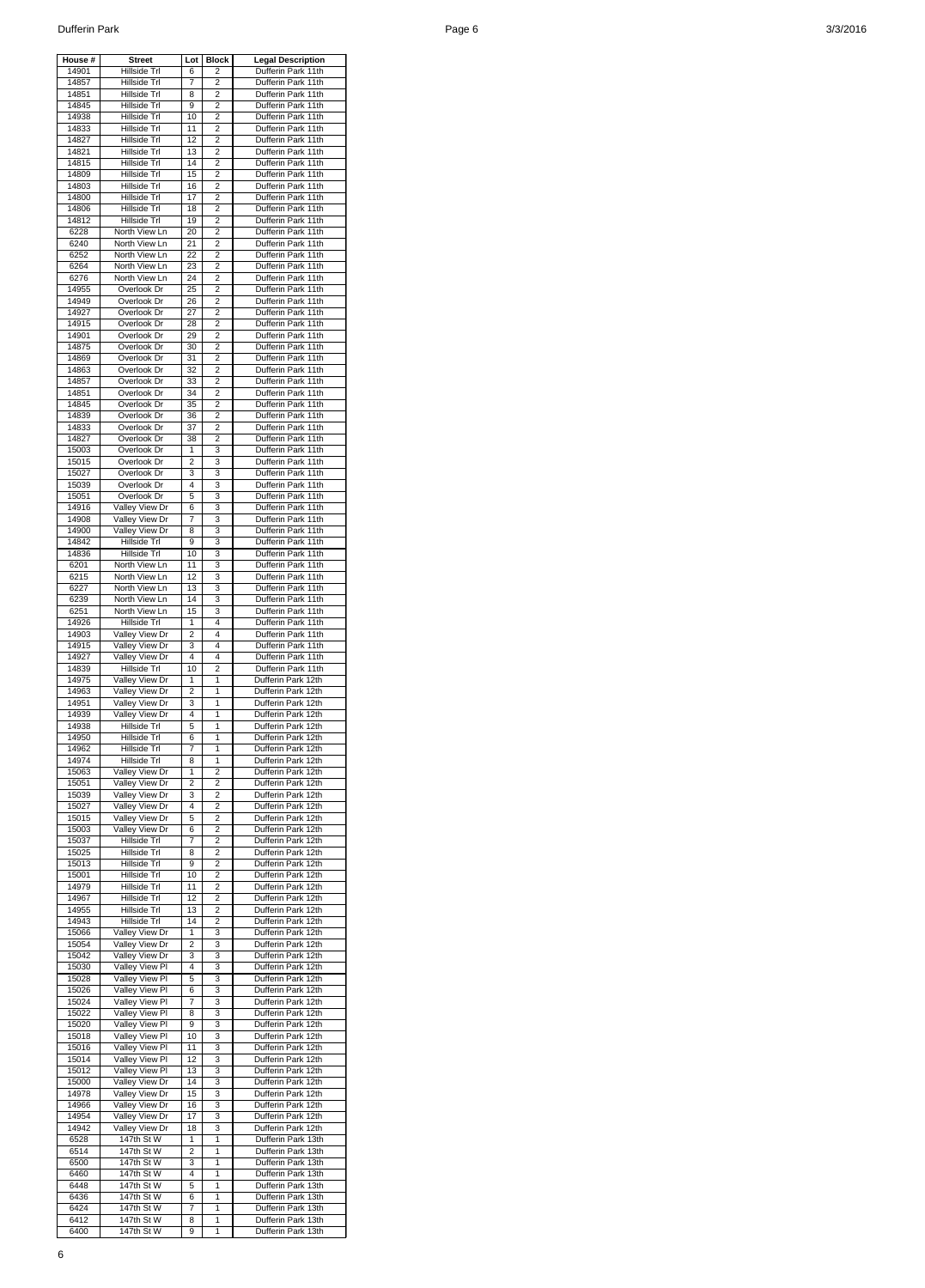| House #        | <b>Street</b>                    | Lot            | <b>Block</b>   | <b>Legal Description</b>                 |
|----------------|----------------------------------|----------------|----------------|------------------------------------------|
| 14901          | Hillside Trl                     | 6              | 2              | Dufferin Park 11th                       |
| 14857<br>14851 | Hillside Trl<br>Hillside Trl     | 7<br>8         | 2<br>2         | Dufferin Park 11th<br>Dufferin Park 11th |
| 14845          | Hillside Trl                     | 9              | 2              | Dufferin Park 11th                       |
| 14938          | Hillside Trl                     | 10             | 2              | Dufferin Park 11th                       |
| 14833          | Hillside Trl                     | 11             | 2              | Dufferin Park 11th                       |
| 14827          | Hillside Trl                     | 12             | 2              | Dufferin Park 11th                       |
| 14821          | Hillside Trl                     | 13             | $\overline{2}$ | Dufferin Park 11th                       |
| 14815<br>14809 | Hillside Trl<br>Hillside Trl     | 14<br>15       | 2<br>2         | Dufferin Park 11th<br>Dufferin Park 11th |
| 14803          | Hillside Trl                     | 16             | 2              | Dufferin Park 11th                       |
| 14800          | Hillside Trl                     | 17             | $\overline{2}$ | Dufferin Park 11th                       |
| 14806          | Hillside Trl                     | 18             | 2              | Dufferin Park 11th                       |
| 14812          | Hillside Trl                     | 19             | 2              | Dufferin Park 11th                       |
| 6228           | North View Ln                    | 20             | 2              | Dufferin Park 11th                       |
| 6240<br>6252   | North View Ln<br>North View Ln   | 21<br>22       | 2<br>2         | Dufferin Park 11th<br>Dufferin Park 11th |
| 6264           | North View Ln                    | 23             | 2              | Dufferin Park 11th                       |
| 6276           | North View Ln                    | 24             | $\overline{2}$ | Dufferin Park 11th                       |
| 14955          | Overlook Dr                      | 25             | 2              | Dufferin Park 11th                       |
| 14949          | Overlook Dr                      | 26             | 2              | Dufferin Park 11th                       |
| 14927          | Overlook Dr                      | 27             | 2              | Dufferin Park 11th                       |
| 14915<br>14901 | Overlook Dr<br>Overlook Dr       | 28<br>29       | 2<br>2         | Dufferin Park 11th<br>Dufferin Park 11th |
| 14875          | Overlook Dr                      | 30             | 2              | Dufferin Park 11th                       |
| 14869          | Overlook Dr                      | 31             | 2              | Dufferin Park 11th                       |
| 14863          | Overlook Dr                      | 32             | 2              | Dufferin Park 11th                       |
| 14857          | Overlook Dr                      | 33             | 2              | Dufferin Park 11th                       |
| 14851          | Overlook Dr                      | 34             | 2              | Dufferin Park 11th                       |
| 14845          | Overlook Dr                      | 35             | $\overline{2}$ | Dufferin Park 11th<br>Dufferin Park 11th |
| 14839<br>14833 | Overlook Dr<br>Overlook Dr       | 36<br>37       | 2<br>2         | Dufferin Park 11th                       |
| 14827          | Overlook Dr                      | 38             | 2              | Dufferin Park 11th                       |
| 15003          | Overlook Dr                      | 1              | 3              | Dufferin Park 11th                       |
| 15015          | Overlook Dr                      | 2              | 3              | Dufferin Park 11th                       |
| 15027          | Overlook Dr                      | 3              | 3              | Dufferin Park 11th                       |
| 15039          | Overlook Dr                      | 4              | 3              | Dufferin Park 11th                       |
| 15051<br>14916 | Overlook Dr<br>Valley View Dr    | 5<br>6         | 3<br>3         | Dufferin Park 11th<br>Dufferin Park 11th |
| 14908          | Valley View Dr                   | $\overline{7}$ | 3              | Dufferin Park 11th                       |
| 14900          | Valley View Dr                   | 8              | 3              | Dufferin Park 11th                       |
| 14842          | Hillside Trl                     | 9              | 3              | Dufferin Park 11th                       |
| 14836          | Hillside Trl                     | 10             | 3              | Dufferin Park 11th                       |
| 6201           | North View Ln                    | 11<br>12       | 3<br>3         | Dufferin Park 11th                       |
| 6215<br>6227   | North View Ln<br>North View Ln   | 13             | 3              | Dufferin Park 11th<br>Dufferin Park 11th |
| 6239           | North View Ln                    | 14             | 3              | Dufferin Park 11th                       |
| 6251           | North View Ln                    | 15             | 3              | Dufferin Park 11th                       |
| 14926          | Hillside Trl                     | 1              | 4              | Dufferin Park 11th                       |
| 14903          | Valley View Dr                   | $\overline{2}$ | 4              | Dufferin Park 11th                       |
| 14915          | Valley View Dr                   | 3              | 4              | Dufferin Park 11th                       |
| 14927<br>14839 | Valley View Dr<br>Hillside Trl   | 4<br>10        | 4<br>2         | Dufferin Park 11th<br>Dufferin Park 11th |
| 14975          | Valley View Dr                   | 1              | 1              | Dufferin Park 12th                       |
| 14963          | Valley View Dr                   | 2              | 1              | Dufferin Park 12th                       |
| 14951          | Valley View Dr                   | 3              | 1              | Dufferin Park 12th                       |
| 14939          | Valley View Dr                   | 4              | 1              | Dufferin Park 12th                       |
| 14938<br>14950 | Hillside Trl<br>Hillside Trl     | 5              | 1<br>1         | Dufferin Park 12th<br>Dufferin Park 12th |
| 14962          | Hillside Trl                     | 6<br>7         | 1              | Dufferin Park 12th                       |
| 14974          | Hillside Trl                     | 8              | 1              | Dufferin Park 12th                       |
| 15063          | Valley View Dr                   | 1              | $\overline{2}$ | Dufferin Park 12th                       |
| 15051          | Valley View Dr                   | $\overline{2}$ | 2              | Dufferin Park 12th                       |
| 15039          | Valley View Dr                   | 3              | 2              | Dufferin Park 12th                       |
| 15027          | Valley View Dr                   | 4              | 2              | Dufferin Park 12th                       |
| 15015<br>15003 | Valley View Dr<br>Valley View Dr | 5<br>6         | 2<br>2         | Dufferin Park 12th<br>Dufferin Park 12th |
| 15037          | Hillside Trl                     | 7              | 2              | Dufferin Park 12th                       |
| 15025          | Hillside Trl                     | 8              | $\overline{2}$ | Dufferin Park 12th                       |
| 15013          | Hillside Trl                     | 9              | 2              | Dufferin Park 12th                       |
| 15001          | Hillside Trl                     | 10             | 2              | Dufferin Park 12th                       |
| 14979<br>14967 | Hillside Trl<br>Hillside Trl     | 11<br>12       | 2<br>2         | Dufferin Park 12th<br>Dufferin Park 12th |
| 14955          | Hillside Trl                     | 13             | $\overline{c}$ | Dufferin Park 12th                       |
| 14943          | Hillside Trl                     | 14             | 2              | Dufferin Park 12th                       |
| 15066          | Valley View Dr                   | 1              | 3              | Dufferin Park 12th                       |
| 15054          | Valley View Dr                   | 2              | 3              | Dufferin Park 12th                       |
| 15042          | Valley View Dr                   | 3              | 3              | Dufferin Park 12th                       |
| 15030<br>15028 | Valley View Pl<br>Valley View Pl | 4<br>5         | 3<br>3         | Dufferin Park 12th<br>Dufferin Park 12th |
| 15026          | Valley View Pl                   | 6              | 3              | Dufferin Park 12th                       |
| 15024          | Valley View Pl                   | 7              | 3              | Dufferin Park 12th                       |
| 15022          | Valley View PI                   | 8              | 3              | Dufferin Park 12th                       |
| 15020          | Valley View PI                   | 9              | 3              | Dufferin Park 12th                       |
| 15018<br>15016 | Valley View Pl<br>Valley View Pl | 10<br>11       | 3<br>3         | Dufferin Park 12th<br>Dufferin Park 12th |
| 15014          | Valley View PI                   | 12             | 3              | Dufferin Park 12th                       |
| 15012          | Valley View PI                   | 13             | 3              | Dufferin Park 12th                       |
| 15000          | Valley View Dr                   | 14             | 3              | Dufferin Park 12th                       |
| 14978          | Valley View Dr                   | 15             | 3              | Dufferin Park 12th                       |
| 14966          | Valley View Dr                   | 16             | 3              | Dufferin Park 12th                       |
| 14954<br>14942 | Valley View Dr<br>Valley View Dr | 17<br>18       | 3<br>3         | Dufferin Park 12th<br>Dufferin Park 12th |
| 6528           | 147th St W                       | 1              | 1              | Dufferin Park 13th                       |
| 6514           | 147th St W                       | 2              | 1              | Dufferin Park 13th                       |
| 6500           | 147th St W                       | 3              | 1              | Dufferin Park 13th                       |
| 6460           | 147th St W                       | 4              | 1              | Dufferin Park 13th                       |
| 6448           | 147th St W                       | 5              | 1              | Dufferin Park 13th                       |
| 6436<br>6424   | 147th St W<br>147th St W         | 6<br>7         | 1<br>1         | Dufferin Park 13th<br>Dufferin Park 13th |
| 6412           | 147th St W                       | 8              | 1              | Dufferin Park 13th                       |
| 6400           | 147th St W                       | 9              | $\mathbf{1}$   | Dufferin Park 13th                       |